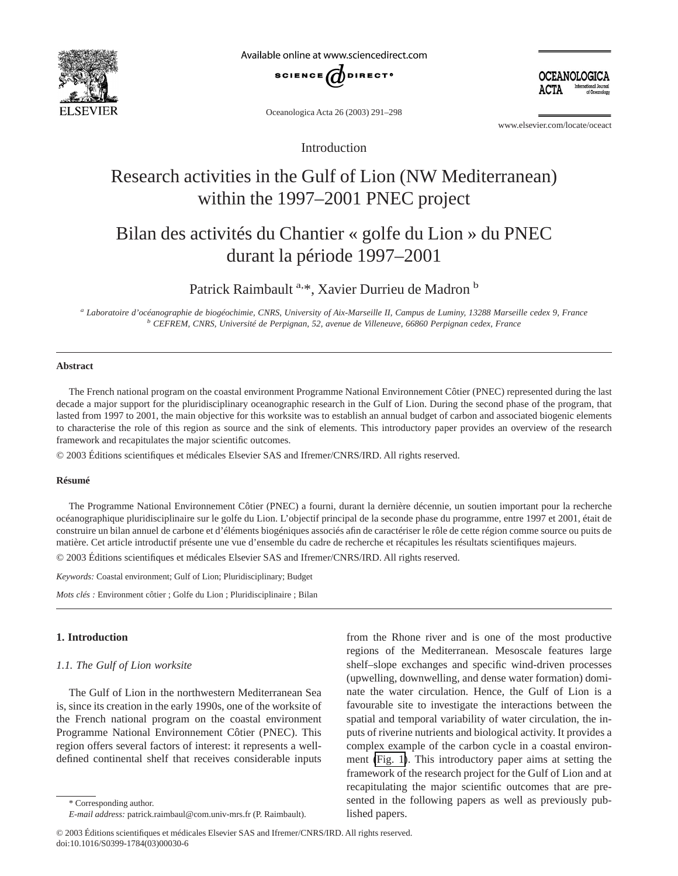

Available online at www.sciencedirect.com



Oceanologica Acta 26 (2003) 291–298

www.elsevier.com/locate/oceact

OCEANOLOGICA

Introduction

# Research activities in the Gulf of Lion (NW Mediterranean) within the 1997–2001 PNEC project

## Bilan des activités du Chantier « golfe du Lion » du PNEC durant la période 1997–2001

## Patrick Raimbault<sup>a,\*</sup>, Xavier Durrieu de Madron<sup>b</sup>

*<sup>a</sup> Laboratoire d'océanographie de biogéochimie, CNRS, University of Aix-Marseille II, Campus de Luminy, 13288 Marseille cedex 9, France <sup>b</sup> CEFREM, CNRS, Université de Perpignan, 52, avenue de Villeneuve, 66860 Perpignan cedex, France*

## **Abstract**

The French national program on the coastal environment Programme National Environnement Côtier (PNEC) represented during the last decade a major support for the pluridisciplinary oceanographic research in the Gulf of Lion. During the second phase of the program, that lasted from 1997 to 2001, the main objective for this worksite was to establish an annual budget of carbon and associated biogenic elements to characterise the role of this region as source and the sink of elements. This introductory paper provides an overview of the research framework and recapitulates the major scientific outcomes.

© 2003 Éditions scientifiques et médicales Elsevier SAS and Ifremer/CNRS/IRD. All rights reserved.

#### **Résumé**

The Programme National Environnement Côtier (PNEC) a fourni, durant la dernière décennie, un soutien important pour la recherche océanographique pluridisciplinaire sur le golfe du Lion. L'objectif principal de la seconde phase du programme, entre 1997 et 2001, était de construire un bilan annuel de carbone et d'éléments biogéniques associés afin de caractériser le rôle de cette région comme source ou puits de matière. Cet article introductif présente une vue d'ensemble du cadre de recherche et récapitules les résultats scientifiques majeurs.

© 2003 Éditions scientifiques et médicales Elsevier SAS and Ifremer/CNRS/IRD. All rights reserved.

*Keywords:* Coastal environment; Gulf of Lion; Pluridisciplinary; Budget

*Mots clés :* Environment côtier ; Golfe du Lion ; Pluridisciplinaire ; Bilan

## **1. Introduction**

## *1.1. The Gulf of Lion worksite*

The Gulf of Lion in the northwestern Mediterranean Sea is, since its creation in the early 1990s, one of the worksite of the French national program on the coastal environment Programme National Environnement Côtier (PNEC). This region offers several factors of interest: it represents a welldefined continental shelf that receives considerable inputs from the Rhone river and is one of the most productive regions of the Mediterranean. Mesoscale features large shelf–slope exchanges and specific wind-driven processes (upwelling, downwelling, and dense water formation) dominate the water circulation. Hence, the Gulf of Lion is a favourable site to investigate the interactions between the spatial and temporal variability of water circulation, the inputs of riverine nutrients and biological activity. It provides a complex example of the carbon cycle in a coastal environment [\(Fig. 1\)](#page-1-0). This introductory paper aims at setting the framework of the research project for the Gulf of Lion and at recapitulating the major scientific outcomes that are presented in the following papers as well as previously published papers.

© 2003 Éditions scientifiques et médicales Elsevier SAS and Ifremer/CNRS/IRD. All rights reserved. doi:10.1016/S0399-1784(03)00030-6

<sup>\*</sup> Corresponding author.

*E-mail address:* patrick.raimbaul@com.univ-mrs.fr (P. Raimbault).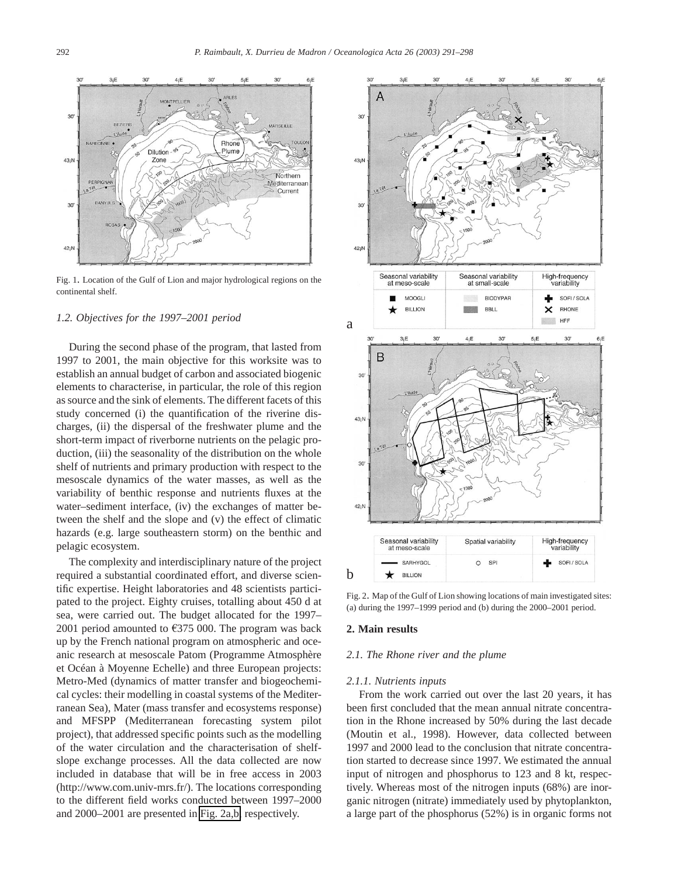<span id="page-1-0"></span>

Fig. 1. Location of the Gulf of Lion and major hydrological regions on the continental shelf.

#### *1.2. Objectives for the 1997–2001 period*

During the second phase of the program, that lasted from 1997 to 2001, the main objective for this worksite was to establish an annual budget of carbon and associated biogenic elements to characterise, in particular, the role of this region as source and the sink of elements. The different facets of this study concerned (i) the quantification of the riverine discharges, (ii) the dispersal of the freshwater plume and the short-term impact of riverborne nutrients on the pelagic production, (iii) the seasonality of the distribution on the whole shelf of nutrients and primary production with respect to the mesoscale dynamics of the water masses, as well as the variability of benthic response and nutrients fluxes at the water–sediment interface, (iv) the exchanges of matter between the shelf and the slope and (v) the effect of climatic hazards (e.g. large southeastern storm) on the benthic and pelagic ecosystem.

The complexity and interdisciplinary nature of the project required a substantial coordinated effort, and diverse scientific expertise. Height laboratories and 48 scientists participated to the project. Eighty cruises, totalling about 450 d at sea, were carried out. The budget allocated for the 1997– 2001 period amounted to  $\text{\textsterling}375$  000. The program was back up by the French national program on atmospheric and oceanic research at mesoscale Patom (Programme Atmosphère et Océan à Moyenne Echelle) and three European projects: Metro-Med (dynamics of matter transfer and biogeochemical cycles: their modelling in coastal systems of the Mediterranean Sea), Mater (mass transfer and ecosystems response) and MFSPP (Mediterranean forecasting system pilot project), that addressed specific points such as the modelling of the water circulation and the characterisation of shelfslope exchange processes. All the data collected are now included in database that will be in free access in 2003 (http://www.com.univ-mrs.fr/). The locations corresponding to the different field works conducted between 1997–2000 and 2000–2001 are presented in Fig. 2a,b, respectively.



Fig. 2. Map of the Gulf of Lion showing locations of main investigated sites: (a) during the 1997–1999 period and (b) during the 2000–2001 period.

#### **2. Main results**

### *2.1. The Rhone river and the plume*

#### *2.1.1. Nutrients inputs*

From the work carried out over the last 20 years, it has been first concluded that the mean annual nitrate concentration in the Rhone increased by 50% during the last decade (Moutin et al., 1998). However, data collected between 1997 and 2000 lead to the conclusion that nitrate concentration started to decrease since 1997. We estimated the annual input of nitrogen and phosphorus to 123 and 8 kt, respectively. Whereas most of the nitrogen inputs (68%) are inorganic nitrogen (nitrate) immediately used by phytoplankton, a large part of the phosphorus (52%) is in organic forms not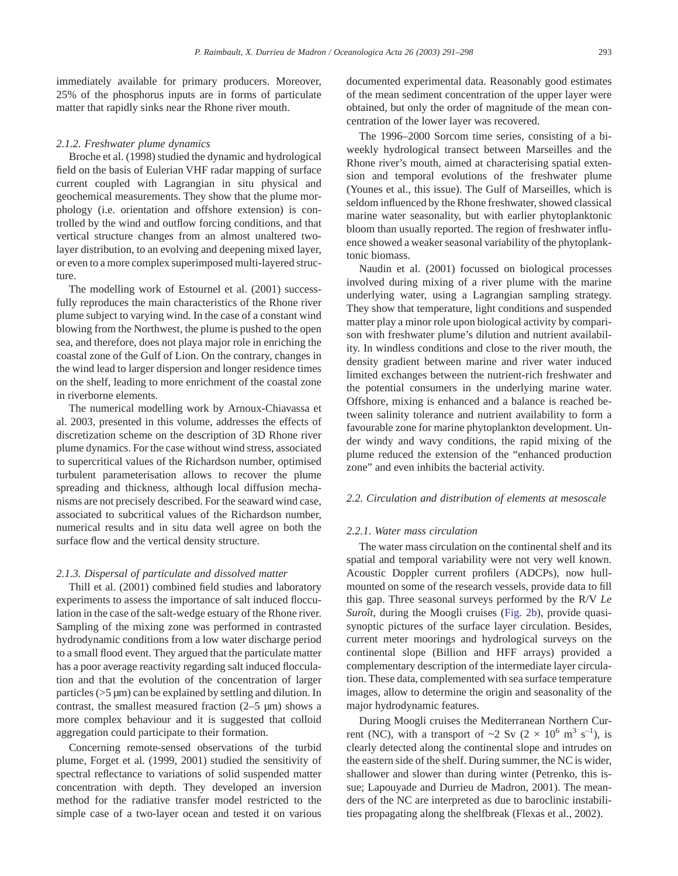immediately available for primary producers. Moreover, 25% of the phosphorus inputs are in forms of particulate matter that rapidly sinks near the Rhone river mouth.

#### *2.1.2. Freshwater plume dynamics*

Broche et al. (1998) studied the dynamic and hydrological field on the basis of Eulerian VHF radar mapping of surface current coupled with Lagrangian in situ physical and geochemical measurements. They show that the plume morphology (i.e. orientation and offshore extension) is controlled by the wind and outflow forcing conditions, and that vertical structure changes from an almost unaltered twolayer distribution, to an evolving and deepening mixed layer, or even to a more complex superimposed multi-layered structure.

The modelling work of Estournel et al. (2001) successfully reproduces the main characteristics of the Rhone river plume subject to varying wind. In the case of a constant wind blowing from the Northwest, the plume is pushed to the open sea, and therefore, does not playa major role in enriching the coastal zone of the Gulf of Lion. On the contrary, changes in the wind lead to larger dispersion and longer residence times on the shelf, leading to more enrichment of the coastal zone in riverborne elements.

The numerical modelling work by Arnoux-Chiavassa et al. 2003, presented in this volume, addresses the effects of discretization scheme on the description of 3D Rhone river plume dynamics. For the case without wind stress, associated to supercritical values of the Richardson number, optimised turbulent parameterisation allows to recover the plume spreading and thickness, although local diffusion mechanisms are not precisely described. For the seaward wind case, associated to subcritical values of the Richardson number, numerical results and in situ data well agree on both the surface flow and the vertical density structure.

#### *2.1.3. Dispersal of particulate and dissolved matter*

Thill et al. (2001) combined field studies and laboratory experiments to assess the importance of salt induced flocculation in the case of the salt-wedge estuary of the Rhone river. Sampling of the mixing zone was performed in contrasted hydrodynamic conditions from a low water discharge period to a small flood event. They argued that the particulate matter has a poor average reactivity regarding salt induced flocculation and that the evolution of the concentration of larger particles (>5 µm) can be explained by settling and dilution. In contrast, the smallest measured fraction  $(2-5 \mu m)$  shows a more complex behaviour and it is suggested that colloid aggregation could participate to their formation.

Concerning remote-sensed observations of the turbid plume, Forget et al. (1999, 2001) studied the sensitivity of spectral reflectance to variations of solid suspended matter concentration with depth. They developed an inversion method for the radiative transfer model restricted to the simple case of a two-layer ocean and tested it on various documented experimental data. Reasonably good estimates of the mean sediment concentration of the upper layer were obtained, but only the order of magnitude of the mean concentration of the lower layer was recovered.

The 1996–2000 Sorcom time series, consisting of a biweekly hydrological transect between Marseilles and the Rhone river's mouth, aimed at characterising spatial extension and temporal evolutions of the freshwater plume (Younes et al., this issue). The Gulf of Marseilles, which is seldom influenced by the Rhone freshwater, showed classical marine water seasonality, but with earlier phytoplanktonic bloom than usually reported. The region of freshwater influence showed a weaker seasonal variability of the phytoplanktonic biomass.

Naudin et al. (2001) focussed on biological processes involved during mixing of a river plume with the marine underlying water, using a Lagrangian sampling strategy. They show that temperature, light conditions and suspended matter play a minor role upon biological activity by comparison with freshwater plume's dilution and nutrient availability. In windless conditions and close to the river mouth, the density gradient between marine and river water induced limited exchanges between the nutrient-rich freshwater and the potential consumers in the underlying marine water. Offshore, mixing is enhanced and a balance is reached between salinity tolerance and nutrient availability to form a favourable zone for marine phytoplankton development. Under windy and wavy conditions, the rapid mixing of the plume reduced the extension of the "enhanced production zone" and even inhibits the bacterial activity.

#### *2.2. Circulation and distribution of elements at mesoscale*

#### *2.2.1. Water mass circulation*

The water mass circulation on the continental shelf and its spatial and temporal variability were not very well known. Acoustic Doppler current profilers (ADCPs), now hullmounted on some of the research vessels, provide data to fill this gap. Three seasonal surveys performed by the R/V *Le Suroît*, during the Moogli cruises [\(Fig. 2b\)](#page-1-0), provide quasisynoptic pictures of the surface layer circulation. Besides, current meter moorings and hydrological surveys on the continental slope (Billion and HFF arrays) provided a complementary description of the intermediate layer circulation. These data, complemented with sea surface temperature images, allow to determine the origin and seasonality of the major hydrodynamic features.

During Moogli cruises the Mediterranean Northern Current (NC), with a transport of  $\sim$ 2 Sv (2  $\times$  10<sup>6</sup> m<sup>3</sup> s<sup>-1</sup>), is clearly detected along the continental slope and intrudes on the eastern side of the shelf. During summer, the NC is wider, shallower and slower than during winter (Petrenko, this issue; Lapouyade and Durrieu de Madron, 2001). The meanders of the NC are interpreted as due to baroclinic instabilities propagating along the shelfbreak (Flexas et al., 2002).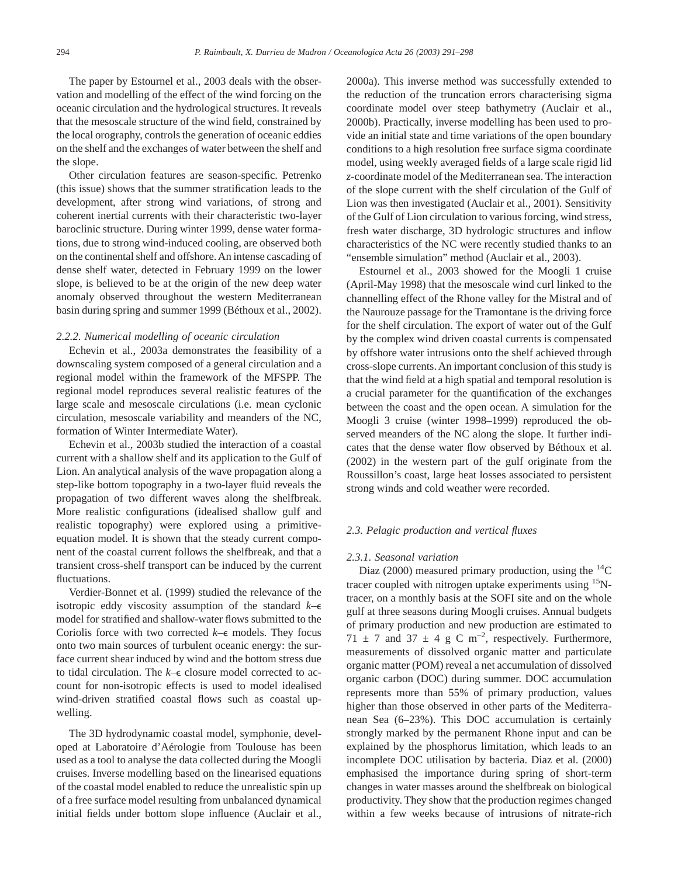The paper by Estournel et al., 2003 deals with the observation and modelling of the effect of the wind forcing on the oceanic circulation and the hydrological structures. It reveals that the mesoscale structure of the wind field, constrained by the local orography, controls the generation of oceanic eddies on the shelf and the exchanges of water between the shelf and the slope.

Other circulation features are season-specific. Petrenko (this issue) shows that the summer stratification leads to the development, after strong wind variations, of strong and coherent inertial currents with their characteristic two-layer baroclinic structure. During winter 1999, dense water formations, due to strong wind-induced cooling, are observed both on the continental shelf and offshore.An intense cascading of dense shelf water, detected in February 1999 on the lower slope, is believed to be at the origin of the new deep water anomaly observed throughout the western Mediterranean basin during spring and summer 1999 (Béthoux et al., 2002).

#### *2.2.2. Numerical modelling of oceanic circulation*

Echevin et al., 2003a demonstrates the feasibility of a downscaling system composed of a general circulation and a regional model within the framework of the MFSPP. The regional model reproduces several realistic features of the large scale and mesoscale circulations (i.e. mean cyclonic circulation, mesoscale variability and meanders of the NC, formation of Winter Intermediate Water).

Echevin et al., 2003b studied the interaction of a coastal current with a shallow shelf and its application to the Gulf of Lion. An analytical analysis of the wave propagation along a step-like bottom topography in a two-layer fluid reveals the propagation of two different waves along the shelfbreak. More realistic configurations (idealised shallow gulf and realistic topography) were explored using a primitiveequation model. It is shown that the steady current component of the coastal current follows the shelfbreak, and that a transient cross-shelf transport can be induced by the current fluctuations.

Verdier-Bonnet et al. (1999) studied the relevance of the isotropic eddy viscosity assumption of the standard *k*–e model for stratified and shallow-water flows submitted to the Coriolis force with two corrected  $k$ – $\epsilon$  models. They focus onto two main sources of turbulent oceanic energy: the surface current shear induced by wind and the bottom stress due to tidal circulation. The *k*–e closure model corrected to account for non-isotropic effects is used to model idealised wind-driven stratified coastal flows such as coastal upwelling.

The 3D hydrodynamic coastal model, symphonie, developed at Laboratoire d'Aérologie from Toulouse has been used as a tool to analyse the data collected during the Moogli cruises. Inverse modelling based on the linearised equations of the coastal model enabled to reduce the unrealistic spin up of a free surface model resulting from unbalanced dynamical initial fields under bottom slope influence (Auclair et al., 2000a). This inverse method was successfully extended to the reduction of the truncation errors characterising sigma coordinate model over steep bathymetry (Auclair et al., 2000b). Practically, inverse modelling has been used to provide an initial state and time variations of the open boundary conditions to a high resolution free surface sigma coordinate model, using weekly averaged fields of a large scale rigid lid *z*-coordinate model of the Mediterranean sea. The interaction of the slope current with the shelf circulation of the Gulf of Lion was then investigated (Auclair et al., 2001). Sensitivity of the Gulf of Lion circulation to various forcing, wind stress, fresh water discharge, 3D hydrologic structures and inflow characteristics of the NC were recently studied thanks to an "ensemble simulation" method (Auclair et al., 2003).

Estournel et al., 2003 showed for the Moogli 1 cruise (April-May 1998) that the mesoscale wind curl linked to the channelling effect of the Rhone valley for the Mistral and of the Naurouze passage for the Tramontane is the driving force for the shelf circulation. The export of water out of the Gulf by the complex wind driven coastal currents is compensated by offshore water intrusions onto the shelf achieved through cross-slope currents. An important conclusion of this study is that the wind field at a high spatial and temporal resolution is a crucial parameter for the quantification of the exchanges between the coast and the open ocean. A simulation for the Moogli 3 cruise (winter 1998–1999) reproduced the observed meanders of the NC along the slope. It further indicates that the dense water flow observed by Béthoux et al. (2002) in the western part of the gulf originate from the Roussillon's coast, large heat losses associated to persistent strong winds and cold weather were recorded.

#### *2.3. Pelagic production and vertical fluxes*

#### *2.3.1. Seasonal variation*

Diaz (2000) measured primary production, using the  ${}^{14}C$ tracer coupled with nitrogen uptake experiments using 15Ntracer, on a monthly basis at the SOFI site and on the whole gulf at three seasons during Moogli cruises. Annual budgets of primary production and new production are estimated to 71  $\pm$  7 and 37  $\pm$  4 g C m<sup>-2</sup>, respectively. Furthermore, measurements of dissolved organic matter and particulate organic matter (POM) reveal a net accumulation of dissolved organic carbon (DOC) during summer. DOC accumulation represents more than 55% of primary production, values higher than those observed in other parts of the Mediterranean Sea (6–23%). This DOC accumulation is certainly strongly marked by the permanent Rhone input and can be explained by the phosphorus limitation, which leads to an incomplete DOC utilisation by bacteria. Diaz et al. (2000) emphasised the importance during spring of short-term changes in water masses around the shelfbreak on biological productivity. They show that the production regimes changed within a few weeks because of intrusions of nitrate-rich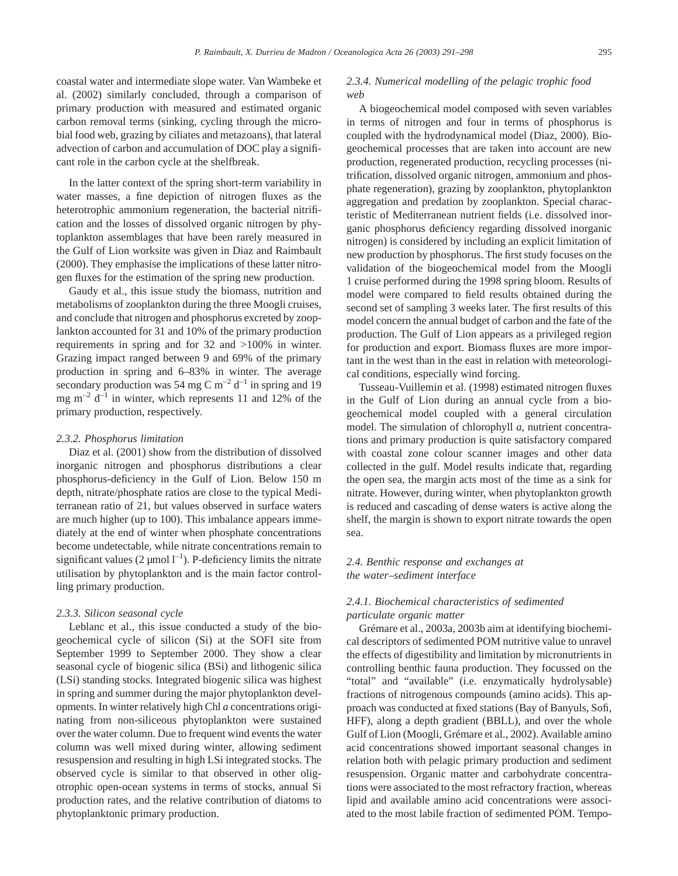coastal water and intermediate slope water. Van Wambeke et al. (2002) similarly concluded, through a comparison of primary production with measured and estimated organic carbon removal terms (sinking, cycling through the microbial food web, grazing by ciliates and metazoans), that lateral advection of carbon and accumulation of DOC play a significant role in the carbon cycle at the shelfbreak.

In the latter context of the spring short-term variability in water masses, a fine depiction of nitrogen fluxes as the heterotrophic ammonium regeneration, the bacterial nitrification and the losses of dissolved organic nitrogen by phytoplankton assemblages that have been rarely measured in the Gulf of Lion worksite was given in Diaz and Raimbault (2000). They emphasise the implications of these latter nitrogen fluxes for the estimation of the spring new production.

Gaudy et al., this issue study the biomass, nutrition and metabolisms of zooplankton during the three Moogli cruises, and conclude that nitrogen and phosphorus excreted by zooplankton accounted for 31 and 10% of the primary production requirements in spring and for 32 and >100% in winter. Grazing impact ranged between 9 and 69% of the primary production in spring and 6–83% in winter. The average secondary production was 54 mg C  $\text{m}^{-2}$  d<sup>-1</sup> in spring and 19 mg  $m^{-2}$  d<sup>-1</sup> in winter, which represents 11 and 12% of the primary production, respectively.

#### *2.3.2. Phosphorus limitation*

Diaz et al. (2001) show from the distribution of dissolved inorganic nitrogen and phosphorus distributions a clear phosphorus-deficiency in the Gulf of Lion. Below 150 m depth, nitrate/phosphate ratios are close to the typical Mediterranean ratio of 21, but values observed in surface waters are much higher (up to 100). This imbalance appears immediately at the end of winter when phosphate concentrations become undetectable, while nitrate concentrations remain to significant values  $(2 \mu \text{mol} \, 1^{-1})$ . P-deficiency limits the nitrate utilisation by phytoplankton and is the main factor controlling primary production.

#### *2.3.3. Silicon seasonal cycle*

Leblanc et al., this issue conducted a study of the biogeochemical cycle of silicon (Si) at the SOFI site from September 1999 to September 2000. They show a clear seasonal cycle of biogenic silica (BSi) and lithogenic silica (LSi) standing stocks. Integrated biogenic silica was highest in spring and summer during the major phytoplankton developments. In winter relatively high Chl *a* concentrations originating from non-siliceous phytoplankton were sustained over the water column. Due to frequent wind events the water column was well mixed during winter, allowing sediment resuspension and resulting in high LSi integrated stocks. The observed cycle is similar to that observed in other oligotrophic open-ocean systems in terms of stocks, annual Si production rates, and the relative contribution of diatoms to phytoplanktonic primary production.

## *2.3.4. Numerical modelling of the pelagic trophic food web*

A biogeochemical model composed with seven variables in terms of nitrogen and four in terms of phosphorus is coupled with the hydrodynamical model (Diaz, 2000). Biogeochemical processes that are taken into account are new production, regenerated production, recycling processes (nitrification, dissolved organic nitrogen, ammonium and phosphate regeneration), grazing by zooplankton, phytoplankton aggregation and predation by zooplankton. Special characteristic of Mediterranean nutrient fields (i.e. dissolved inorganic phosphorus deficiency regarding dissolved inorganic nitrogen) is considered by including an explicit limitation of new production by phosphorus. The first study focuses on the validation of the biogeochemical model from the Moogli 1 cruise performed during the 1998 spring bloom. Results of model were compared to field results obtained during the second set of sampling 3 weeks later. The first results of this model concern the annual budget of carbon and the fate of the production. The Gulf of Lion appears as a privileged region for production and export. Biomass fluxes are more important in the west than in the east in relation with meteorological conditions, especially wind forcing.

Tusseau-Vuillemin et al. (1998) estimated nitrogen fluxes in the Gulf of Lion during an annual cycle from a biogeochemical model coupled with a general circulation model. The simulation of chlorophyll *a*, nutrient concentrations and primary production is quite satisfactory compared with coastal zone colour scanner images and other data collected in the gulf. Model results indicate that, regarding the open sea, the margin acts most of the time as a sink for nitrate. However, during winter, when phytoplankton growth is reduced and cascading of dense waters is active along the shelf, the margin is shown to export nitrate towards the open sea.

## *2.4. Benthic response and exchanges at the water–sediment interface*

## *2.4.1. Biochemical characteristics of sedimented particulate organic matter*

Grémare et al., 2003a, 2003b aim at identifying biochemical descriptors of sedimented POM nutritive value to unravel the effects of digestibility and limitation by micronutrients in controlling benthic fauna production. They focussed on the "total" and "available" (i.e. enzymatically hydrolysable) fractions of nitrogenous compounds (amino acids). This approach was conducted at fixed stations (Bay of Banyuls, Sofi, HFF), along a depth gradient (BBLL), and over the whole Gulf of Lion (Moogli, Grémare et al., 2002). Available amino acid concentrations showed important seasonal changes in relation both with pelagic primary production and sediment resuspension. Organic matter and carbohydrate concentrations were associated to the most refractory fraction, whereas lipid and available amino acid concentrations were associated to the most labile fraction of sedimented POM. Tempo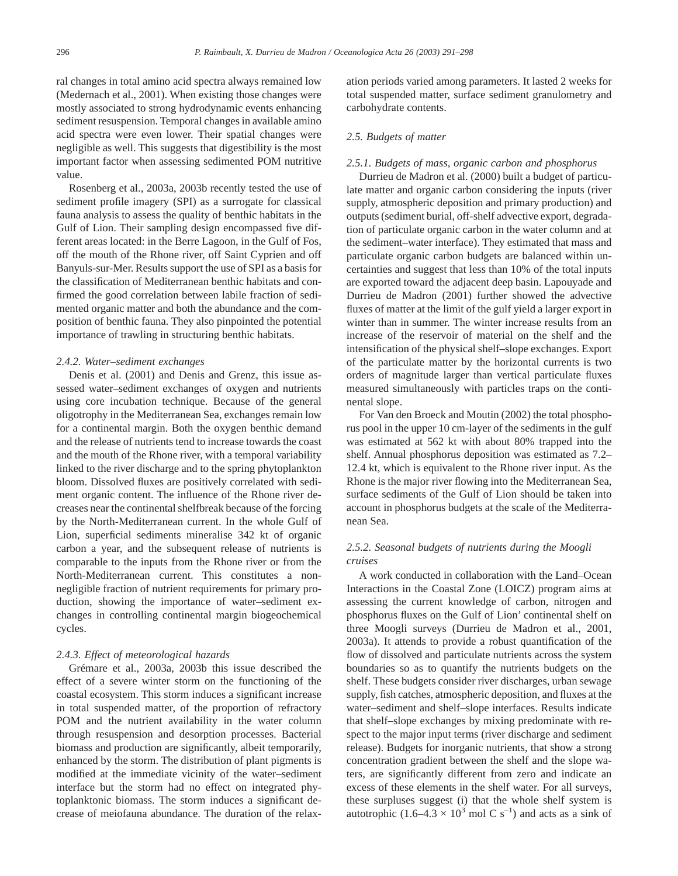ral changes in total amino acid spectra always remained low (Medernach et al., 2001). When existing those changes were mostly associated to strong hydrodynamic events enhancing sediment resuspension. Temporal changes in available amino acid spectra were even lower. Their spatial changes were negligible as well. This suggests that digestibility is the most important factor when assessing sedimented POM nutritive value.

Rosenberg et al., 2003a, 2003b recently tested the use of sediment profile imagery (SPI) as a surrogate for classical fauna analysis to assess the quality of benthic habitats in the Gulf of Lion. Their sampling design encompassed five different areas located: in the Berre Lagoon, in the Gulf of Fos, off the mouth of the Rhone river, off Saint Cyprien and off Banyuls-sur-Mer. Results support the use of SPI as a basis for the classification of Mediterranean benthic habitats and confirmed the good correlation between labile fraction of sedimented organic matter and both the abundance and the composition of benthic fauna. They also pinpointed the potential importance of trawling in structuring benthic habitats.

#### *2.4.2. Water–sediment exchanges*

Denis et al. (2001) and Denis and Grenz, this issue assessed water–sediment exchanges of oxygen and nutrients using core incubation technique. Because of the general oligotrophy in the Mediterranean Sea, exchanges remain low for a continental margin. Both the oxygen benthic demand and the release of nutrients tend to increase towards the coast and the mouth of the Rhone river, with a temporal variability linked to the river discharge and to the spring phytoplankton bloom. Dissolved fluxes are positively correlated with sediment organic content. The influence of the Rhone river decreases near the continental shelfbreak because of the forcing by the North-Mediterranean current. In the whole Gulf of Lion, superficial sediments mineralise 342 kt of organic carbon a year, and the subsequent release of nutrients is comparable to the inputs from the Rhone river or from the North-Mediterranean current. This constitutes a nonnegligible fraction of nutrient requirements for primary production, showing the importance of water–sediment exchanges in controlling continental margin biogeochemical cycles.

## *2.4.3. Effect of meteorological hazards*

Grémare et al., 2003a, 2003b this issue described the effect of a severe winter storm on the functioning of the coastal ecosystem. This storm induces a significant increase in total suspended matter, of the proportion of refractory POM and the nutrient availability in the water column through resuspension and desorption processes. Bacterial biomass and production are significantly, albeit temporarily, enhanced by the storm. The distribution of plant pigments is modified at the immediate vicinity of the water–sediment interface but the storm had no effect on integrated phytoplanktonic biomass. The storm induces a significant decrease of meiofauna abundance. The duration of the relaxation periods varied among parameters. It lasted 2 weeks for total suspended matter, surface sediment granulometry and carbohydrate contents.

#### *2.5. Budgets of matter*

## *2.5.1. Budgets of mass, organic carbon and phosphorus*

Durrieu de Madron et al. (2000) built a budget of particulate matter and organic carbon considering the inputs (river supply, atmospheric deposition and primary production) and outputs (sediment burial, off-shelf advective export, degradation of particulate organic carbon in the water column and at the sediment–water interface). They estimated that mass and particulate organic carbon budgets are balanced within uncertainties and suggest that less than 10% of the total inputs are exported toward the adjacent deep basin. Lapouyade and Durrieu de Madron (2001) further showed the advective fluxes of matter at the limit of the gulf yield a larger export in winter than in summer. The winter increase results from an increase of the reservoir of material on the shelf and the intensification of the physical shelf–slope exchanges. Export of the particulate matter by the horizontal currents is two orders of magnitude larger than vertical particulate fluxes measured simultaneously with particles traps on the continental slope.

For Van den Broeck and Moutin (2002) the total phosphorus pool in the upper 10 cm-layer of the sediments in the gulf was estimated at 562 kt with about 80% trapped into the shelf. Annual phosphorus deposition was estimated as 7.2– 12.4 kt, which is equivalent to the Rhone river input. As the Rhone is the major river flowing into the Mediterranean Sea, surface sediments of the Gulf of Lion should be taken into account in phosphorus budgets at the scale of the Mediterranean Sea.

## *2.5.2. Seasonal budgets of nutrients during the Moogli cruises*

A work conducted in collaboration with the Land–Ocean Interactions in the Coastal Zone (LOICZ) program aims at assessing the current knowledge of carbon, nitrogen and phosphorus fluxes on the Gulf of Lion' continental shelf on three Moogli surveys (Durrieu de Madron et al., 2001, 2003a). It attends to provide a robust quantification of the flow of dissolved and particulate nutrients across the system boundaries so as to quantify the nutrients budgets on the shelf. These budgets consider river discharges, urban sewage supply, fish catches, atmospheric deposition, and fluxes at the water–sediment and shelf–slope interfaces. Results indicate that shelf–slope exchanges by mixing predominate with respect to the major input terms (river discharge and sediment release). Budgets for inorganic nutrients, that show a strong concentration gradient between the shelf and the slope waters, are significantly different from zero and indicate an excess of these elements in the shelf water. For all surveys, these surpluses suggest (i) that the whole shelf system is autotrophic  $(1.6-4.3 \times 10^3 \text{ mol C s}^{-1})$  and acts as a sink of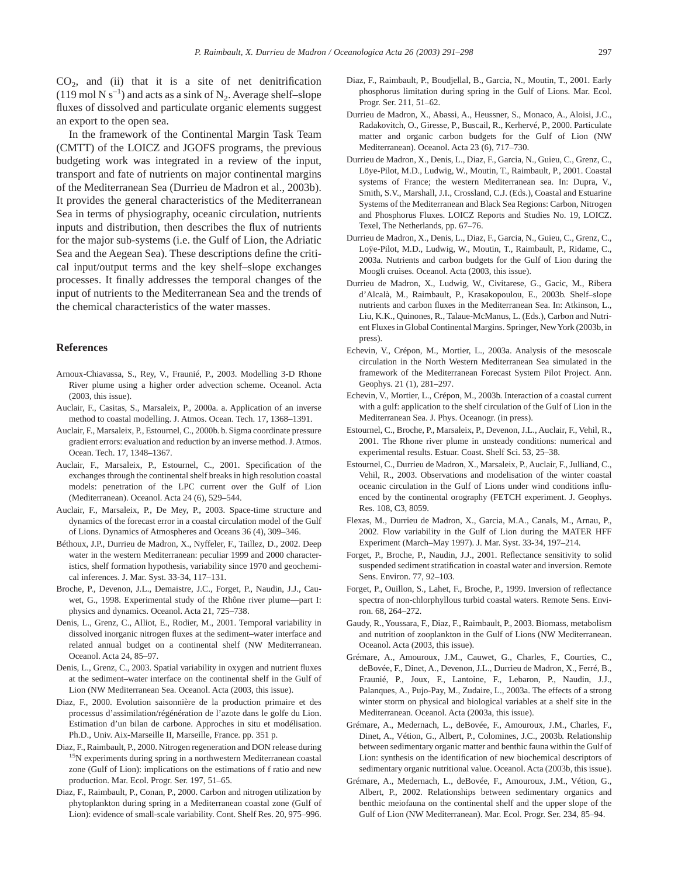$CO<sub>2</sub>$ , and (ii) that it is a site of net denitrification (119 mol N s<sup>-1</sup>) and acts as a sink of N<sub>2</sub>. Average shelf–slope fluxes of dissolved and particulate organic elements suggest an export to the open sea.

In the framework of the Continental Margin Task Team (CMTT) of the LOICZ and JGOFS programs, the previous budgeting work was integrated in a review of the input, transport and fate of nutrients on major continental margins of the Mediterranean Sea (Durrieu de Madron et al., 2003b). It provides the general characteristics of the Mediterranean Sea in terms of physiography, oceanic circulation, nutrients inputs and distribution, then describes the flux of nutrients for the major sub-systems (i.e. the Gulf of Lion, the Adriatic Sea and the Aegean Sea). These descriptions define the critical input/output terms and the key shelf–slope exchanges processes. It finally addresses the temporal changes of the input of nutrients to the Mediterranean Sea and the trends of the chemical characteristics of the water masses.

## **References**

- Arnoux-Chiavassa, S., Rey, V., Fraunié, P., 2003. Modelling 3-D Rhone River plume using a higher order advection scheme. Oceanol. Acta (2003, this issue).
- Auclair, F., Casitas, S., Marsaleix, P., 2000a. a. Application of an inverse method to coastal modelling. J. Atmos. Ocean. Tech. 17, 1368–1391.
- Auclair, F., Marsaleix, P., Estournel, C., 2000b. b. Sigma coordinate pressure gradient errors: evaluation and reduction by an inverse method. J. Atmos. Ocean. Tech. 17, 1348–1367.
- Auclair, F., Marsaleix, P., Estournel, C., 2001. Specification of the exchanges through the continental shelf breaks in high resolution coastal models: penetration of the LPC current over the Gulf of Lion (Mediterranean). Oceanol. Acta 24 (6), 529–544.
- Auclair, F., Marsaleix, P., De Mey, P., 2003. Space-time structure and dynamics of the forecast error in a coastal circulation model of the Gulf of Lions. Dynamics of Atmospheres and Oceans 36 (4), 309–346.
- Béthoux, J.P., Durrieu de Madron, X., Nyffeler, F., Taillez, D., 2002. Deep water in the western Mediterranean: peculiar 1999 and 2000 characteristics, shelf formation hypothesis, variability since 1970 and geochemical inferences. J. Mar. Syst. 33-34, 117–131.
- Broche, P., Devenon, J.L., Demaistre, J.C., Forget, P., Naudin, J.J., Cauwet, G., 1998. Experimental study of the Rhône river plume—part I: physics and dynamics. Oceanol. Acta 21, 725–738.
- Denis, L., Grenz, C., Alliot, E., Rodier, M., 2001. Temporal variability in dissolved inorganic nitrogen fluxes at the sediment–water interface and related annual budget on a continental shelf (NW Mediterranean. Oceanol. Acta 24, 85–97.
- Denis, L., Grenz, C., 2003. Spatial variability in oxygen and nutrient fluxes at the sediment–water interface on the continental shelf in the Gulf of Lion (NW Mediterranean Sea. Oceanol. Acta (2003, this issue).
- Diaz, F., 2000. Evolution saisonnière de la production primaire et des processus d'assimilation/régénération de l'azote dans le golfe du Lion. Estimation d'un bilan de carbone. Approches in situ et modélisation. Ph.D., Univ. Aix-Marseille II, Marseille, France. pp. 351 p.
- Diaz, F., Raimbault, P., 2000. Nitrogen regeneration and DON release during 15N experiments during spring in a northwestern Mediterranean coastal zone (Gulf of Lion): implications on the estimations of f ratio and new production. Mar. Ecol. Progr. Ser. 197, 51–65.
- Diaz, F., Raimbault, P., Conan, P., 2000. Carbon and nitrogen utilization by phytoplankton during spring in a Mediterranean coastal zone (Gulf of Lion): evidence of small-scale variability. Cont. Shelf Res. 20, 975–996.
- Diaz, F., Raimbault, P., Boudjellal, B., Garcia, N., Moutin, T., 2001. Early phosphorus limitation during spring in the Gulf of Lions. Mar. Ecol. Progr. Ser. 211, 51–62.
- Durrieu de Madron, X., Abassi, A., Heussner, S., Monaco, A., Aloisi, J.C., Radakovitch, O., Giresse, P., Buscail, R., Kerhervé, P., 2000. Particulate matter and organic carbon budgets for the Gulf of Lion (NW Mediterranean). Oceanol. Acta 23 (6), 717–730.
- Durrieu de Madron, X., Denis, L., Diaz, F., Garcia, N., Guieu, C., Grenz, C., Löye-Pilot, M.D., Ludwig, W., Moutin, T., Raimbault, P., 2001. Coastal systems of France; the western Mediterranean sea. In: Dupra, V., Smith, S.V., Marshall, J.I., Crossland, C.J. (Eds.), Coastal and Estuarine Systems of the Mediterranean and Black Sea Regions: Carbon, Nitrogen and Phosphorus Fluxes. LOICZ Reports and Studies No. 19, LOICZ. Texel, The Netherlands, pp. 67–76.
- Durrieu de Madron, X., Denis, L., Diaz, F., Garcia, N., Guieu, C., Grenz, C., Loÿe-Pilot, M.D., Ludwig, W., Moutin, T., Raimbault, P., Ridame, C., 2003a. Nutrients and carbon budgets for the Gulf of Lion during the Moogli cruises. Oceanol. Acta (2003, this issue).
- Durrieu de Madron, X., Ludwig, W., Civitarese, G., Gacic, M., Ribera d'Alcalà, M., Raimbault, P., Krasakopoulou, E., 2003b. Shelf–slope nutrients and carbon fluxes in the Mediterranean Sea. In: Atkinson, L., Liu, K.K., Quinones, R., Talaue-McManus, L. (Eds.), Carbon and Nutrient Fluxes in Global Continental Margins. Springer, NewYork (2003b, in press).
- Echevin, V., Crépon, M., Mortier, L., 2003a. Analysis of the mesoscale circulation in the North Western Mediterranean Sea simulated in the framework of the Mediterranean Forecast System Pilot Project. Ann. Geophys. 21 (1), 281–297.
- Echevin, V., Mortier, L., Crépon, M., 2003b. Interaction of a coastal current with a gulf: application to the shelf circulation of the Gulf of Lion in the Mediterranean Sea. J. Phys. Oceanogr. (in press).
- Estournel, C., Broche, P., Marsaleix, P., Devenon, J.L., Auclair, F., Vehil, R., 2001. The Rhone river plume in unsteady conditions: numerical and experimental results. Estuar. Coast. Shelf Sci. 53, 25–38.
- Estournel, C., Durrieu de Madron, X., Marsaleix, P., Auclair, F., Julliand, C., Vehil, R., 2003. Observations and modelisation of the winter coastal oceanic circulation in the Gulf of Lions under wind conditions influenced by the continental orography (FETCH experiment. J. Geophys. Res. 108, C3, 8059.
- Flexas, M., Durrieu de Madron, X., Garcia, M.A., Canals, M., Arnau, P., 2002. Flow variability in the Gulf of Lion during the MATER HFF Experiment (March–May 1997). J. Mar. Syst. 33-34, 197–214.
- Forget, P., Broche, P., Naudin, J.J., 2001. Reflectance sensitivity to solid suspended sediment stratification in coastal water and inversion. Remote Sens. Environ. 77, 92–103.
- Forget, P., Ouillon, S., Lahet, F., Broche, P., 1999. Inversion of reflectance spectra of non-chlorphyllous turbid coastal waters. Remote Sens. Environ. 68, 264–272.
- Gaudy, R., Youssara, F., Diaz, F., Raimbault, P., 2003. Biomass, metabolism and nutrition of zooplankton in the Gulf of Lions (NW Mediterranean. Oceanol. Acta (2003, this issue).
- Grémare, A., Amouroux, J.M., Cauwet, G., Charles, F., Courties, C., deBovée, F., Dinet, A., Devenon, J.L., Durrieu de Madron, X., Ferré, B., Fraunié, P., Joux, F., Lantoine, F., Lebaron, P., Naudin, J.J., Palanques, A., Pujo-Pay, M., Zudaire, L., 2003a. The effects of a strong winter storm on physical and biological variables at a shelf site in the Mediterranean. Oceanol. Acta (2003a, this issue).
- Grémare, A., Medernach, L., deBovée, F., Amouroux, J.M., Charles, F., Dinet, A., Vétion, G., Albert, P., Colomines, J.C., 2003b. Relationship between sedimentary organic matter and benthic fauna within the Gulf of Lion: synthesis on the identification of new biochemical descriptors of sedimentary organic nutritional value. Oceanol. Acta (2003b, this issue).
- Grémare, A., Medernach, L., deBovée, F., Amouroux, J.M., Vétion, G., Albert, P., 2002. Relationships between sedimentary organics and benthic meiofauna on the continental shelf and the upper slope of the Gulf of Lion (NW Mediterranean). Mar. Ecol. Progr. Ser. 234, 85–94.